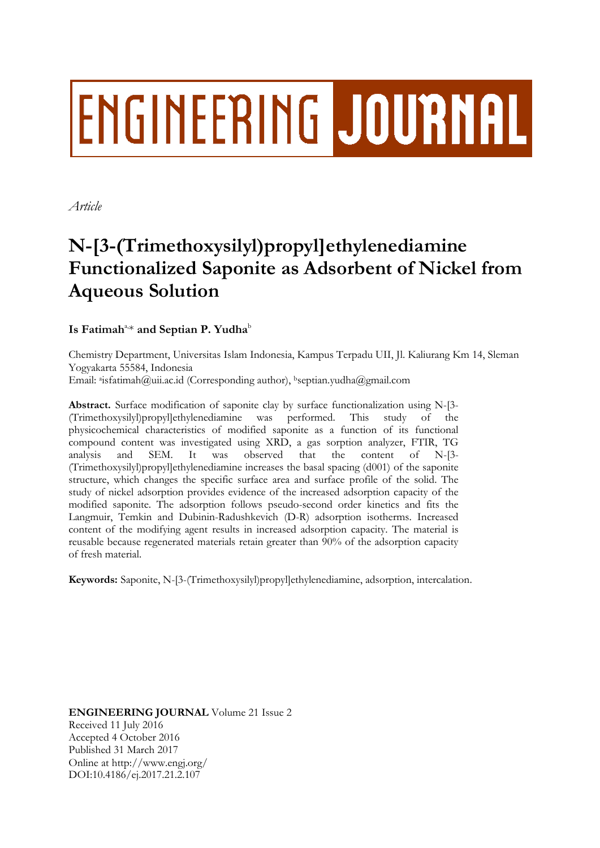# **ENGINEERING JOURNAL**

*Article*

## **N-[3-(Trimethoxysilyl)propyl]ethylenediamine Functionalized Saponite as Adsorbent of Nickel from Aqueous Solution**

### $\mathbf{I}$ s Fatimah $\mathrm{a}$ , $\mathrm{*}$  and Septian P. Yudha $\mathrm{b}$

Chemistry Department, Universitas Islam Indonesia, Kampus Terpadu UII, Jl. Kaliurang Km 14, Sleman Yogyakarta 55584, Indonesia Email: <sup>a</sup>isfatimah@uii.ac.id (Corresponding author), <sup>b</sup>septian.yudha@gmail.com

**Abstract.** Surface modification of saponite clay by surface functionalization using N-[3- (Trimethoxysilyl)propyl]ethylenediamine was performed. This study of the physicochemical characteristics of modified saponite as a function of its functional compound content was investigated using XRD, a gas sorption analyzer, FTIR, TG analysis and SEM. It was observed that the content of N-[3- (Trimethoxysilyl)propyl]ethylenediamine increases the basal spacing (d001) of the saponite structure, which changes the specific surface area and surface profile of the solid. The study of nickel adsorption provides evidence of the increased adsorption capacity of the modified saponite. The adsorption follows pseudo-second order kinetics and fits the Langmuir, Temkin and Dubinin-Radushkevich (D-R) adsorption isotherms. Increased content of the modifying agent results in increased adsorption capacity. The material is reusable because regenerated materials retain greater than 90% of the adsorption capacity of fresh material.

**Keywords:** Saponite, N-[3-(Trimethoxysilyl)propyl]ethylenediamine, adsorption, intercalation.

**ENGINEERING JOURNAL** Volume 21 Issue 2 Received 11 July 2016 Accepted 4 October 2016 Published 31 March 2017 Online at http://www.engj.org/ DOI:10.4186/ej.2017.21.2.107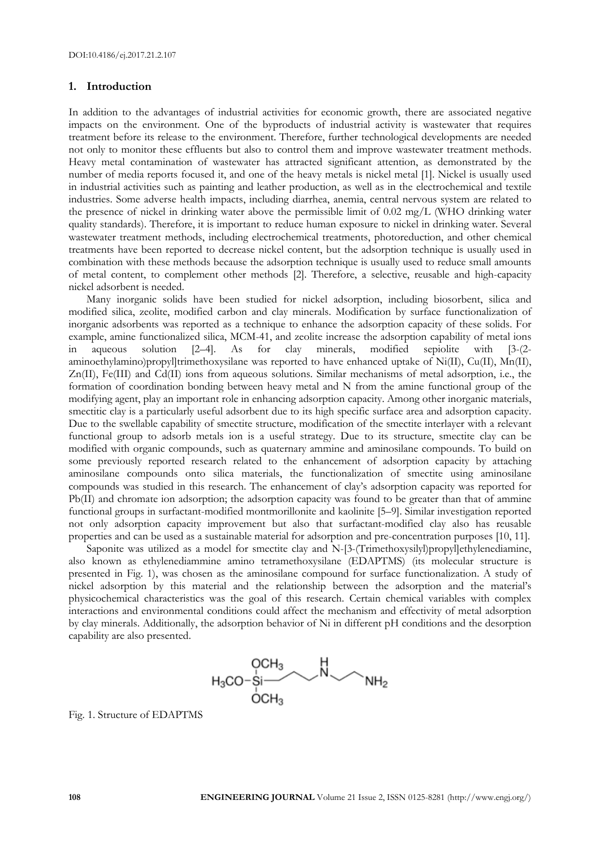#### **1. Introduction**

In addition to the advantages of industrial activities for economic growth, there are associated negative impacts on the environment. One of the byproducts of industrial activity is wastewater that requires treatment before its release to the environment. Therefore, further technological developments are needed not only to monitor these effluents but also to control them and improve wastewater treatment methods. Heavy metal contamination of wastewater has attracted significant attention, as demonstrated by the number of media reports focused it, and one of the heavy metals is nickel metal [1]. Nickel is usually used in industrial activities such as painting and leather production, as well as in the electrochemical and textile industries. Some adverse health impacts, including diarrhea, anemia, central nervous system are related to the presence of nickel in drinking water above the permissible limit of 0.02 mg/L (WHO drinking water quality standards). Therefore, it is important to reduce human exposure to nickel in drinking water. Several wastewater treatment methods, including electrochemical treatments, photoreduction, and other chemical treatments have been reported to decrease nickel content, but the adsorption technique is usually used in combination with these methods because the adsorption technique is usually used to reduce small amounts of metal content, to complement other methods [2]. Therefore, a selective, reusable and high-capacity nickel adsorbent is needed.

Many inorganic solids have been studied for nickel adsorption, including biosorbent, silica and modified silica, zeolite, modified carbon and clay minerals. Modification by surface functionalization of inorganic adsorbents was reported as a technique to enhance the adsorption capacity of these solids. For example, amine functionalized silica, MCM-41, and zeolite increase the adsorption capability of metal ions in aqueous solution [2–4]. As for clay minerals, modified sepiolite with [3-(2 aminoethylamino)propyl]trimethoxysilane was reported to have enhanced uptake of  $Ni(II)$ ,  $Cu(II)$ ,  $Mn(II)$ , Zn(II), Fe(III) and Cd(II) ions from aqueous solutions. Similar mechanisms of metal adsorption, i.e., the formation of coordination bonding between heavy metal and N from the amine functional group of the modifying agent, play an important role in enhancing adsorption capacity. Among other inorganic materials, smectitic clay is a particularly useful adsorbent due to its high specific surface area and adsorption capacity. Due to the swellable capability of smectite structure, modification of the smectite interlayer with a relevant functional group to adsorb metals ion is a useful strategy. Due to its structure, smectite clay can be modified with organic compounds, such as quaternary ammine and aminosilane compounds. To build on some previously reported research related to the enhancement of adsorption capacity by attaching aminosilane compounds onto silica materials, the functionalization of smectite using aminosilane compounds was studied in this research. The enhancement of clay's adsorption capacity was reported for Pb(II) and chromate ion adsorption; the adsorption capacity was found to be greater than that of ammine functional groups in surfactant-modified montmorillonite and kaolinite [5–9]. Similar investigation reported not only adsorption capacity improvement but also that surfactant-modified clay also has reusable properties and can be used as a sustainable material for adsorption and pre-concentration purposes [10, 11].

Saponite was utilized as a model for smectite clay and N-[3-(Trimethoxysilyl)propyl]ethylenediamine, also known as ethylenediammine amino tetramethoxysilane (EDAPTMS) (its molecular structure is presented in Fig. 1), was chosen as the aminosilane compound for surface functionalization. A study of nickel adsorption by this material and the relationship between the adsorption and the material's physicochemical characteristics was the goal of this research. Certain chemical variables with complex interactions and environmental conditions could affect the mechanism and effectivity of metal adsorption by clay minerals. Additionally, the adsorption behavior of Ni in different pH conditions and the desorption capability are also presented.



Fig. 1. Structure of EDAPTMS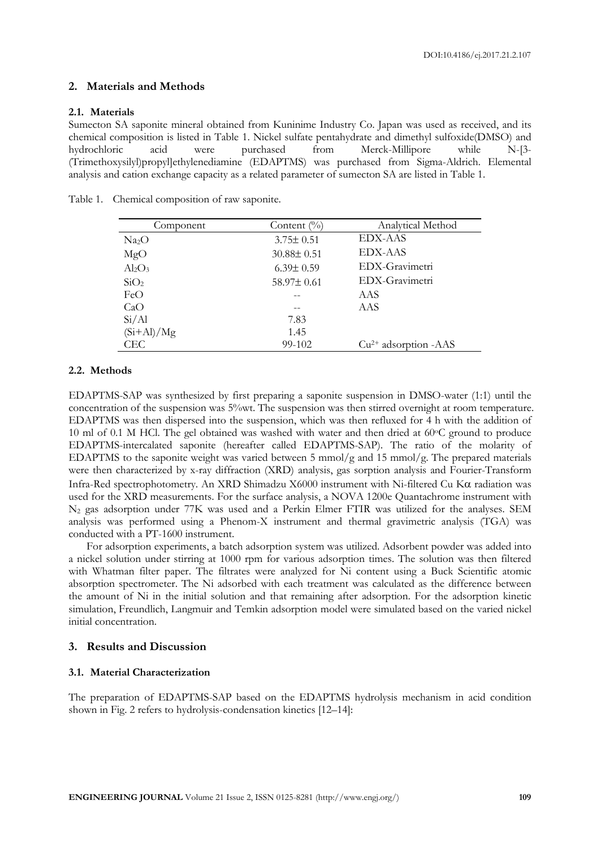#### **2. Materials and Methods**

#### **2.1. Materials**

Sumecton SA saponite mineral obtained from Kuninime Industry Co. Japan was used as received, and its chemical composition is listed in Table 1. Nickel sulfate pentahydrate and dimethyl sulfoxide(DMSO) and hydrochloric acid were purchased from Merck-Millipore while N-[3- (Trimethoxysilyl)propyl]ethylenediamine (EDAPTMS) was purchased from Sigma-Aldrich. Elemental analysis and cation exchange capacity as a related parameter of sumecton SA are listed in Table 1.

| Component                      | Content $\frac{0}{0}$ | Analytical Method      |
|--------------------------------|-----------------------|------------------------|
| Na <sub>2</sub> O              | $3.75 \pm 0.51$       | EDX-AAS                |
| MgO                            | $30.88 \pm 0.51$      | EDX-AAS                |
| Al <sub>2</sub> O <sub>3</sub> | $6.39 \pm 0.59$       | EDX-Gravimetri         |
| SiO <sub>2</sub>               | $58.97 \pm 0.61$      | EDX-Gravimetri         |
| FeO                            |                       | AAS                    |
| CaO                            |                       | AAS                    |
| Si/Al                          | 7.83                  |                        |
| $(Si+Al)/Mg$                   | 1.45                  |                        |
| CEC                            | 99-102                | $Cu2+$ adsorption -AAS |

Table 1. Chemical composition of raw saponite.

#### **2.2. Methods**

EDAPTMS-SAP was synthesized by first preparing a saponite suspension in DMSO-water (1:1) until the concentration of the suspension was 5%wt. The suspension was then stirred overnight at room temperature. EDAPTMS was then dispersed into the suspension, which was then refluxed for 4 h with the addition of 10 ml of 0.1 M HCl. The gel obtained was washed with water and then dried at 60°C ground to produce EDAPTMS-intercalated saponite (hereafter called EDAPTMS-SAP). The ratio of the molarity of EDAPTMS to the saponite weight was varied between 5 mmol/g and 15 mmol/g. The prepared materials were then characterized by x-ray diffraction (XRD) analysis, gas sorption analysis and Fourier-Transform Infra-Red spectrophotometry. An XRD Shimadzu X6000 instrument with Ni-filtered Cu K $\alpha$  radiation was used for the XRD measurements. For the surface analysis, a NOVA 1200e Quantachrome instrument with N<sup>2</sup> gas adsorption under 77K was used and a Perkin Elmer FTIR was utilized for the analyses. SEM analysis was performed using a Phenom-X instrument and thermal gravimetric analysis (TGA) was conducted with a PT-1600 instrument.

For adsorption experiments, a batch adsorption system was utilized. Adsorbent powder was added into a nickel solution under stirring at 1000 rpm for various adsorption times. The solution was then filtered with Whatman filter paper. The filtrates were analyzed for Ni content using a Buck Scientific atomic absorption spectrometer. The Ni adsorbed with each treatment was calculated as the difference between the amount of Ni in the initial solution and that remaining after adsorption. For the adsorption kinetic simulation, Freundlich, Langmuir and Temkin adsorption model were simulated based on the varied nickel initial concentration.

#### **3. Results and Discussion**

#### **3.1. Material Characterization**

The preparation of EDAPTMS-SAP based on the EDAPTMS hydrolysis mechanism in acid condition shown in Fig. 2 refers to hydrolysis-condensation kinetics [12–14]: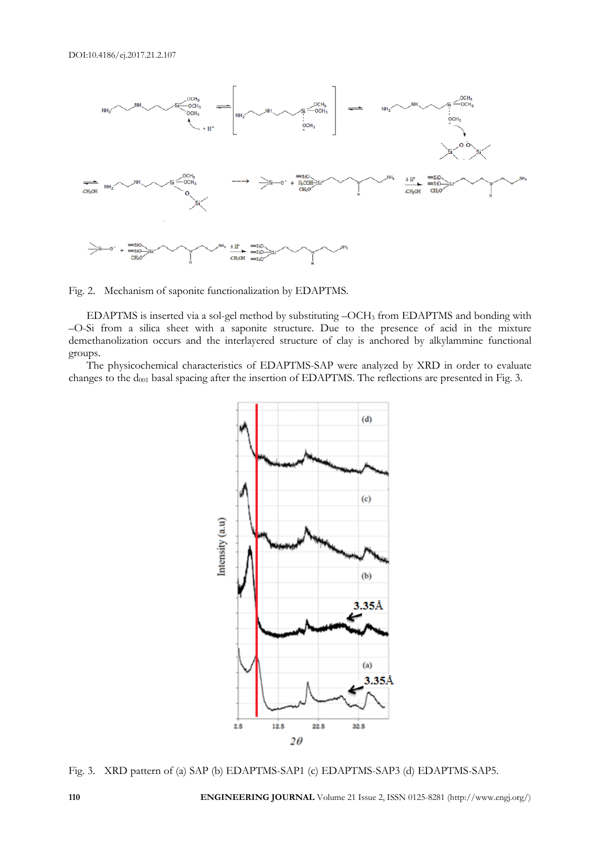

Fig. 2. Mechanism of saponite functionalization by EDAPTMS.

EDAPTMS is inserted via a sol-gel method by substituting –OCH<sup>3</sup> from EDAPTMS and bonding with –O-Si from a silica sheet with a saponite structure. Due to the presence of acid in the mixture demethanolization occurs and the interlayered structure of clay is anchored by alkylammine functional groups.

The physicochemical characteristics of EDAPTMS-SAP were analyzed by XRD in order to evaluate changes to the d<sub>001</sub> basal spacing after the insertion of EDAPTMS. The reflections are presented in Fig. 3.



Fig. 3. XRD pattern of (a) SAP (b) EDAPTMS-SAP1 (c) EDAPTMS-SAP3 (d) EDAPTMS-SAP5.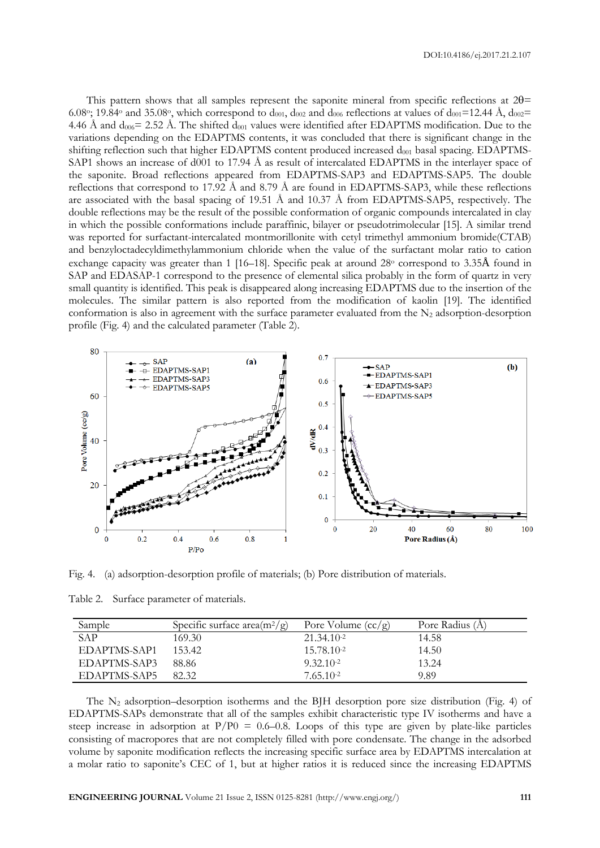This pattern shows that all samples represent the saponite mineral from specific reflections at  $2\theta$ = 6.08°; 19.84° and 35.08°, which correspond to  $d_{001}$ ,  $d_{002}$  and  $d_{006}$  reflections at values of  $d_{001}$ =12.44 Å,  $d_{002}$ = 4.46 Å and  $d_{006}$  = 2.52 Å. The shifted  $d_{001}$  values were identified after EDAPTMS modification. Due to the variations depending on the EDAPTMS contents, it was concluded that there is significant change in the shifting reflection such that higher EDAPTMS content produced increased  $d_{001}$  basal spacing. EDAPTMS-SAP1 shows an increase of d001 to 17.94 Å as result of intercalated EDAPTMS in the interlayer space of the saponite. Broad reflections appeared from EDAPTMS-SAP3 and EDAPTMS-SAP5. The double reflections that correspond to 17.92 Å and 8.79 Å are found in EDAPTMS-SAP3, while these reflections are associated with the basal spacing of 19.51 Å and 10.37 Å from EDAPTMS-SAP5, respectively. The double reflections may be the result of the possible conformation of organic compounds intercalated in clay in which the possible conformations include paraffinic, bilayer or pseudotrimolecular [15]. A similar trend was reported for surfactant-intercalated montmorillonite with cetyl trimethyl ammonium bromide(CTAB) and benzyloctadecyldimethylammonium chloride when the value of the surfactant molar ratio to cation exchange capacity was greater than 1 [16–18]. Specific peak at around 28<sup>o</sup> correspond to 3.35Å found in SAP and EDASAP-1 correspond to the presence of elemental silica probably in the form of quartz in very small quantity is identified. This peak is disappeared along increasing EDAPTMS due to the insertion of the molecules. The similar pattern is also reported from the modification of kaolin [19]. The identified conformation is also in agreement with the surface parameter evaluated from the  $N_2$  adsorption-desorption profile (Fig. 4) and the calculated parameter (Table 2).



Fig. 4. (a) adsorption-desorption profile of materials; (b) Pore distribution of materials.

|  |  | Table 2. Surface parameter of materials. |  |  |
|--|--|------------------------------------------|--|--|
|--|--|------------------------------------------|--|--|

| Sample       | Specific surface area $(m^2/g)$ | Pore Volume $(cc/g)$ | Pore Radius (A) |
|--------------|---------------------------------|----------------------|-----------------|
| SAP          | 169.30                          | $21.34.10^{-2}$      | 14.58           |
| EDAPTMS-SAP1 | 153.42                          | 15.78.10-2           | 14.50           |
| EDAPTMS-SAP3 | 88.86                           | $9.32.10^{-2}$       | 13.24           |
| EDAPTMS-SAP5 | 82.32                           | 7.65.10-2            | 9.89            |

The  $N_2$  adsorption–desorption isotherms and the BJH desorption pore size distribution (Fig. 4) of EDAPTMS-SAPs demonstrate that all of the samples exhibit characteristic type IV isotherms and have a steep increase in adsorption at  $P/P0 = 0.6-0.8$ . Loops of this type are given by plate-like particles consisting of macropores that are not completely filled with pore condensate. The change in the adsorbed volume by saponite modification reflects the increasing specific surface area by EDAPTMS intercalation at a molar ratio to saponite's CEC of 1, but at higher ratios it is reduced since the increasing EDAPTMS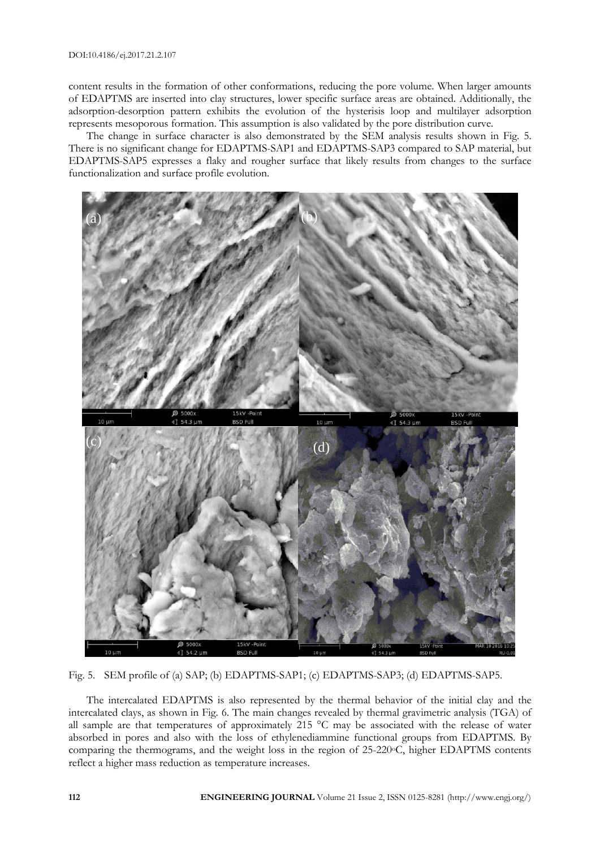content results in the formation of other conformations, reducing the pore volume. When larger amounts of EDAPTMS are inserted into clay structures, lower specific surface areas are obtained. Additionally, the adsorption-desorption pattern exhibits the evolution of the hysterisis loop and multilayer adsorption represents mesoporous formation. This assumption is also validated by the pore distribution curve.

The change in surface character is also demonstrated by the SEM analysis results shown in Fig. 5. There is no significant change for EDAPTMS-SAP1 and EDAPTMS-SAP3 compared to SAP material, but EDAPTMS-SAP5 expresses a flaky and rougher surface that likely results from changes to the surface functionalization and surface profile evolution.



Fig. 5. SEM profile of (a) SAP; (b) EDAPTMS-SAP1; (c) EDAPTMS-SAP3; (d) EDAPTMS-SAP5.

The intercalated EDAPTMS is also represented by the thermal behavior of the initial clay and the intercalated clays, as shown in Fig. 6. The main changes revealed by thermal gravimetric analysis (TGA) of all sample are that temperatures of approximately 215 °C may be associated with the release of water absorbed in pores and also with the loss of ethylenediammine functional groups from EDAPTMS. By comparing the thermograms, and the weight loss in the region of 25-220°C, higher EDAPTMS contents reflect a higher mass reduction as temperature increases.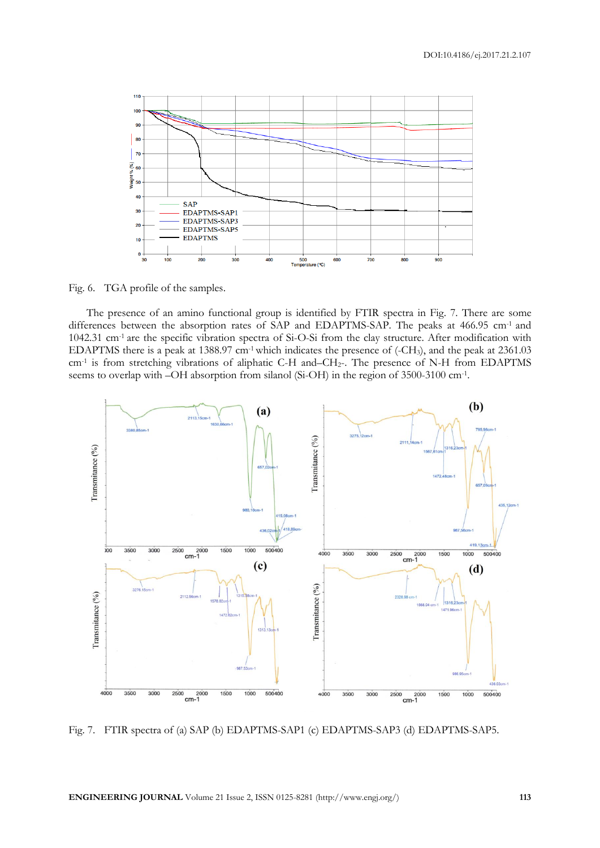

Fig. 6. TGA profile of the samples.

The presence of an amino functional group is identified by FTIR spectra in Fig. 7. There are some differences between the absorption rates of SAP and EDAPTMS-SAP. The peaks at 466.95 cm<sup>-1</sup> and 1042.31 cm-1 are the specific vibration spectra of Si-O-Si from the clay structure. After modification with EDAPTMS there is a peak at 1388.97 cm-1which indicates the presence of (-CH3), and the peak at 2361.03 cm-1 is from stretching vibrations of aliphatic C-H and–CH2-. The presence of N-H from EDAPTMS seems to overlap with –OH absorption from silanol (Si-OH) in the region of 3500-3100 cm-1 .



Fig. 7. FTIR spectra of (a) SAP (b) EDAPTMS-SAP1 (c) EDAPTMS-SAP3 (d) EDAPTMS-SAP5.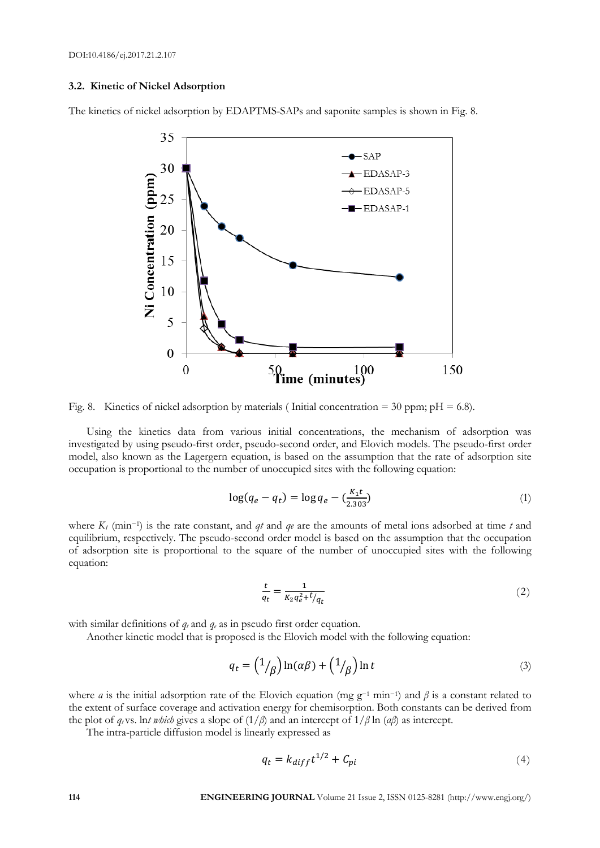#### **3.2. Kinetic of Nickel Adsorption**

The kinetics of nickel adsorption by EDAPTMS-SAPs and saponite samples is shown in Fig. 8.



Fig. 8. Kinetics of nickel adsorption by materials (Initial concentration = 30 ppm;  $pH = 6.8$ ).

Using the kinetics data from various initial concentrations, the mechanism of adsorption was investigated by using pseudo-first order, pseudo-second order, and Elovich models. The pseudo-first order model, also known as the Lagergern equation, is based on the assumption that the rate of adsorption site occupation is proportional to the number of unoccupied sites with the following equation:

$$
\log(q_e - q_t) = \log q_e - \left(\frac{K_1 t}{2.303}\right)
$$
 (1)

where *K<sup>1</sup>* (min−<sup>1</sup> ) is the rate constant, and *qt* and *qe* are the amounts of metal ions adsorbed at time *t* and equilibrium, respectively. The pseudo-second order model is based on the assumption that the occupation of adsorption site is proportional to the square of the number of unoccupied sites with the following equation:

$$
\frac{t}{q_t} = \frac{1}{K_2 q_e^2 + t/q_t} \tag{2}
$$

with similar definitions of  $q_t$  and  $q_e$  as in pseudo first order equation.

Another kinetic model that is proposed is the Elovich model with the following equation:

$$
q_t = \left(\frac{1}{\beta}\right) \ln(\alpha \beta) + \left(\frac{1}{\beta}\right) \ln t \tag{3}
$$

where *a* is the initial adsorption rate of the Elovich equation (mg g<sup>-1</sup> min<sup>-1</sup>) and  $\beta$  is a constant related to the extent of surface coverage and activation energy for chemisorption. Both constants can be derived from the plot of  $q_t$  vs. ln*t* which gives a slope of  $(1/\beta)$  and an intercept of  $1/\beta \ln (a\beta)$  as intercept.

The intra-particle diffusion model is linearly expressed as

$$
q_t = k_{diff}t^{1/2} + C_{pi} \tag{4}
$$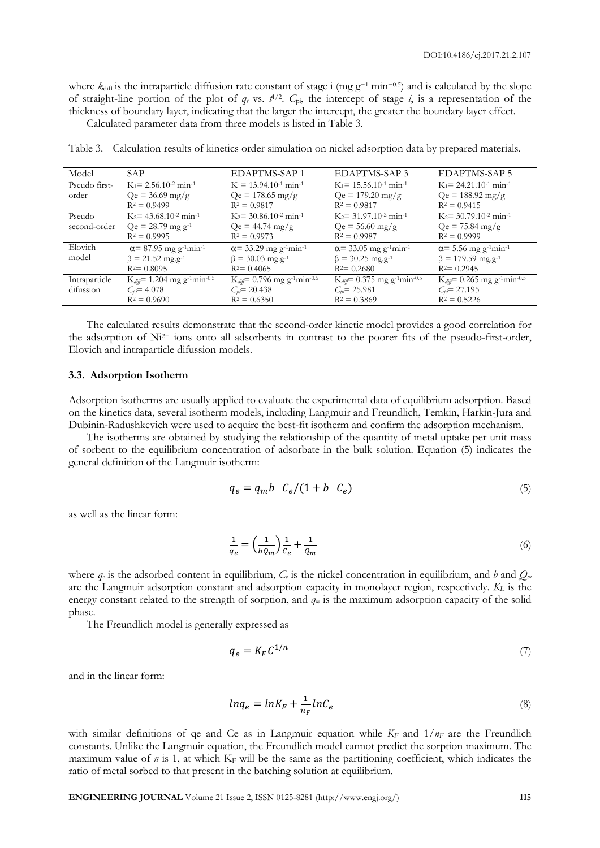where  $k_{diff}$  is the intraparticle diffusion rate constant of stage i (mg g<sup>-1</sup> min<sup>-0.5</sup>) and is calculated by the slope of straight-line portion of the plot of  $q_t$  vs.  $t^{1/2}$ .  $C_{pi}$ , the intercept of stage *i*, is a representation of the thickness of boundary layer, indicating that the larger the intercept, the greater the boundary layer effect.

Calculated parameter data from three models is listed in Table 3.

| Model         | SAP                                                       | EDAPTMS-SAP 1                                                 | EDAPTMS-SAP 3                                             | <b>EDAPTMS-SAP 5</b>                                          |
|---------------|-----------------------------------------------------------|---------------------------------------------------------------|-----------------------------------------------------------|---------------------------------------------------------------|
| Pseudo first- | $K_1 = 2.56.10^{-2}$ min <sup>-1</sup>                    | $K_1$ = 13.94.10 <sup>-1</sup> min <sup>-1</sup>              | $K_1$ = 15.56.10 <sup>-1</sup> min <sup>-1</sup>          | $K_1 = 24.21 \cdot 10^{-1}$ min <sup>-1</sup>                 |
| order         | $Qe = 36.69$ mg/g                                         | $Qe = 178.65$ mg/g                                            | $Qe = 179.20$ mg/g                                        | $Qe = 188.92 \text{ mg/g}$                                    |
|               | $R^2 = 0.9499$                                            | $R^2 = 0.9817$                                                | $R^2 = 0.9817$                                            | $R^2 = 0.9415$                                                |
| Pseudo        | $K_2$ = 43.68.10 <sup>-2</sup> min <sup>-1</sup>          | $K_2$ = 30.86.10 <sup>-2</sup> min <sup>-1</sup>              | $K_2$ = 31.97.10 <sup>-2</sup> min <sup>-1</sup>          | $K_2$ = 30.79.10 <sup>-2</sup> min <sup>-1</sup>              |
| second-order  | $Qe = 28.79$ mg g <sup>-1</sup>                           | $Qe = 44.74 \text{ mg/g}$                                     | $Qe = 56.60$ mg/g                                         | $Qe = 75.84 \text{ mg/g}$                                     |
|               | $R^2 = 0.9995$                                            | $R^2 = 0.9973$                                                | $R^2 = 0.9987$                                            | $R^2 = 0.9999$                                                |
| Elovich       | $\alpha$ = 87.95 mg g <sup>-1</sup> min <sup>-1</sup>     | $\alpha$ = 33.29 mg g <sup>-1</sup> min <sup>-1</sup>         | $\alpha$ = 33.05 mg g <sup>-1</sup> min <sup>-1</sup>     | $\alpha$ = 5.56 mg g <sup>-1</sup> min <sup>-1</sup>          |
| model         | $\beta = 21.52 \text{ mg} \cdot \text{g}^{-1}$            | $\beta = 30.03$ mg.g <sup>-1</sup>                            | $\beta = 30.25$ mg.g <sup>-1</sup>                        | $\beta = 179.59$ mg.g <sup>-1</sup>                           |
|               | $R^2 = 0.8095$                                            | $R^2 = 0.4065$                                                | $R^2 = 0.2680$                                            | $R^2 = 0.2945$                                                |
| Intraparticle | $K_{diff} = 1.204$ mg g <sup>-1</sup> min <sup>-0.5</sup> | $K_{di\theta} = 0.796$ mg g <sup>-1</sup> min <sup>-0.5</sup> | $K_{diff} = 0.375$ mg g <sup>-1</sup> min <sup>-0.5</sup> | $K_{di\theta} = 0.265$ mg g <sup>-1</sup> min <sup>-0.5</sup> |
| difussion     | $C_{bi} = 4.078$                                          | $C_{bi} = 20.438$                                             | $C_{pi} = 25.981$                                         | $C_{pi} = 27.195$                                             |
|               | $R^2 = 0.9690$                                            | $R^2 = 0.6350$                                                | $R^2 = 0.3869$                                            | $R^2 = 0.5226$                                                |

Table 3. Calculation results of kinetics order simulation on nickel adsorption data by prepared materials.

The calculated results demonstrate that the second-order kinetic model provides a good correlation for the adsorption of  $Ni<sup>2+</sup>$  ions onto all adsorbents in contrast to the poorer fits of the pseudo-first-order, Elovich and intraparticle difussion models.

#### **3.3. Adsorption Isotherm**

Adsorption isotherms are usually applied to evaluate the experimental data of equilibrium adsorption. Based on the kinetics data, several isotherm models, including Langmuir and Freundlich, Temkin, Harkin-Jura and Dubinin-Radushkevich were used to acquire the best-fit isotherm and confirm the adsorption mechanism.

The isotherms are obtained by studying the relationship of the quantity of metal uptake per unit mass of sorbent to the equilibrium concentration of adsorbate in the bulk solution. Equation (5) indicates the general definition of the Langmuir isotherm:

$$
q_e = q_m b \quad C_e/(1 + b \quad C_e) \tag{5}
$$

as well as the linear form:

$$
\frac{1}{q_e} = \left(\frac{1}{bQ_m}\right)\frac{1}{c_e} + \frac{1}{Q_m} \tag{6}
$$

where  $q_e$  is the adsorbed content in equilibrium,  $C_e$  is the nickel concentration in equilibrium, and *b* and  $Q_m$ are the Langmuir adsorption constant and adsorption capacity in monolayer region, respectively. *K<sup>L</sup>* is the energy constant related to the strength of sorption, and *q<sup>m</sup>* is the maximum adsorption capacity of the solid phase.

The Freundlich model is generally expressed as

$$
q_e = K_F C^{1/n} \tag{7}
$$

and in the linear form:

$$
ln q_e = ln K_F + \frac{1}{n_F} ln C_e \tag{8}
$$

with similar definitions of qe and Ce as in Langmuir equation while  $K_F$  and  $1/n_F$  are the Freundlich constants. Unlike the Langmuir equation, the Freundlich model cannot predict the sorption maximum. The maximum value of  $n$  is 1, at which  $K_F$  will be the same as the partitioning coefficient, which indicates the ratio of metal sorbed to that present in the batching solution at equilibrium.

**ENGINEERING JOURNAL** Volume 21 Issue 2, ISSN 0125-8281 (http://www.engj.org/) **115**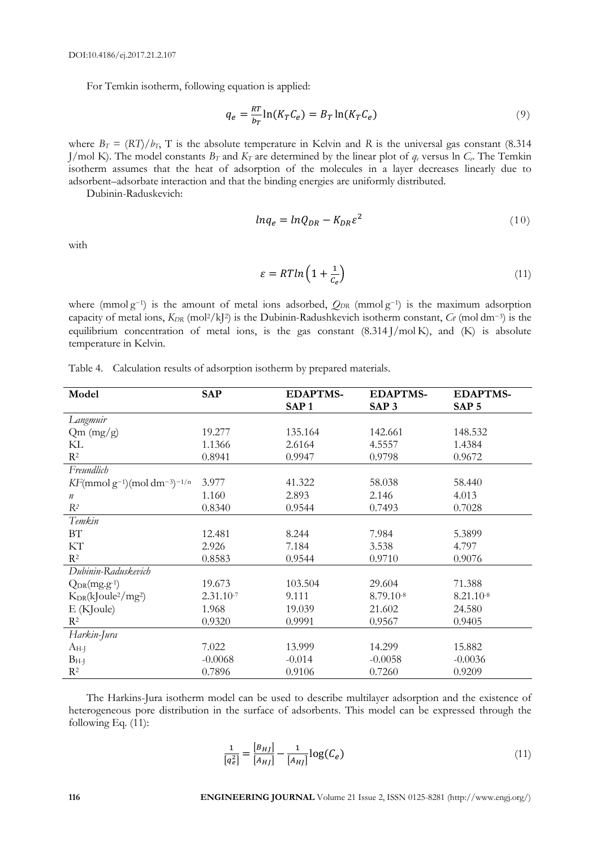For Temkin isotherm, following equation is applied:

$$
q_e = \frac{RT}{b_T} \ln(K_T C_e) = B_T \ln(K_T C_e)
$$
\n(9)

where  $B_T = (RT)/b_T$ , T is the absolute temperature in Kelvin and R is the universal gas constant (8.314) J/mol K). The model constants  $B_T$  and  $K_T$  are determined by the linear plot of  $q_e$  versus ln  $C_e$ . The Temkin isotherm assumes that the heat of adsorption of the molecules in a layer decreases linearly due to adsorbent–adsorbate interaction and that the binding energies are uniformly distributed.

Dubinin-Raduskevich:

$$
ln q_e = ln Q_{DR} - K_{DR} \varepsilon^2
$$
\n(10)

with

$$
\varepsilon = RT\ln\left(1 + \frac{1}{c_e}\right) \tag{11}
$$

where (mmolg<sup>-1</sup>) is the amount of metal ions adsorbed,  $Q_{DR}$  (mmolg<sup>-1</sup>) is the maximum adsorption capacity of metal ions, *KDR* (mol2/kJ<sup>2</sup> ) is the Dubinin-Radushkevich isotherm constant, *Ce* (mol dm−<sup>3</sup> ) is the equilibrium concentration of metal ions, is the gas constant (8.314 J/mol K), and (K) is absolute temperature in Kelvin.

| Model                                 | <b>SAP</b>     | <b>EDAPTMS-</b>  | <b>EDAPTMS-</b>  | <b>EDAPTMS-</b>  |
|---------------------------------------|----------------|------------------|------------------|------------------|
|                                       |                | SAP <sub>1</sub> | SAP <sub>3</sub> | SAP <sub>5</sub> |
| Langmuir                              |                |                  |                  |                  |
| Qm (mg/g)                             | 19.277         | 135.164          | 142.661          | 148.532          |
| KL                                    | 1.1366         | 2.6164           | 4.5557           | 1.4384           |
| $\mathbf{R}^2$                        | 0.8941         | 0.9947           | 0.9798           | 0.9672           |
| Freundlich                            |                |                  |                  |                  |
| $KF(mmol g^{-1})(mol dm^{-3})^{-1/n}$ | 3.977          | 41.322           | 58.038           | 58.440           |
| $\boldsymbol{n}$                      | 1.160          | 2.893            | 2.146            | 4.013            |
| $R^2$                                 | 0.8340         | 0.9544           | 0.7493           | 0.7028           |
| Temkin                                |                |                  |                  |                  |
| BT                                    | 12.481         | 8.244            | 7.984            | 5.3899           |
| KТ                                    | 2.926          | 7.184            | 3.538            | 4.797            |
| $R^2$                                 | 0.8583         | 0.9544           | 0.9710           | 0.9076           |
| Dubinin-Raduskevich                   |                |                  |                  |                  |
| $Q_{DR}(mg.g^{-1})$                   | 19.673         | 103.504          | 29.604           | 71.388           |
| $K_{DR}(kJoule2/mg2)$                 | $2.31.10^{-7}$ | 9.111            | 8.79.10-8        | 8.21.10-8        |
| E(KJoule)                             | 1.968          | 19.039           | 21.602           | 24.580           |
| $R^2$                                 | 0.9320         | 0.9991           | 0.9567           | 0.9405           |
| Harkin-Jura                           |                |                  |                  |                  |
| $A_{H-J}$                             | 7.022          | 13.999           | 14.299           | 15.882           |
| $B_{H-J}$                             | $-0.0068$      | $-0.014$         | $-0.0058$        | $-0.0036$        |
| $R^2$                                 | 0.7896         | 0.9106           | 0.7260           | 0.9209           |

|  |  |  | Table 4. Calculation results of adsorption isotherm by prepared materials. |
|--|--|--|----------------------------------------------------------------------------|
|  |  |  |                                                                            |

The Harkins-Jura isotherm model can be used to describe multilayer adsorption and the existence of heterogeneous pore distribution in the surface of adsorbents. This model can be expressed through the following Eq. (11):

$$
\frac{1}{[q_e^2]} = \frac{[B_{HJ}]}{[A_{HJ}]} - \frac{1}{[A_{HJ}]} \log(C_e)
$$
\n(11)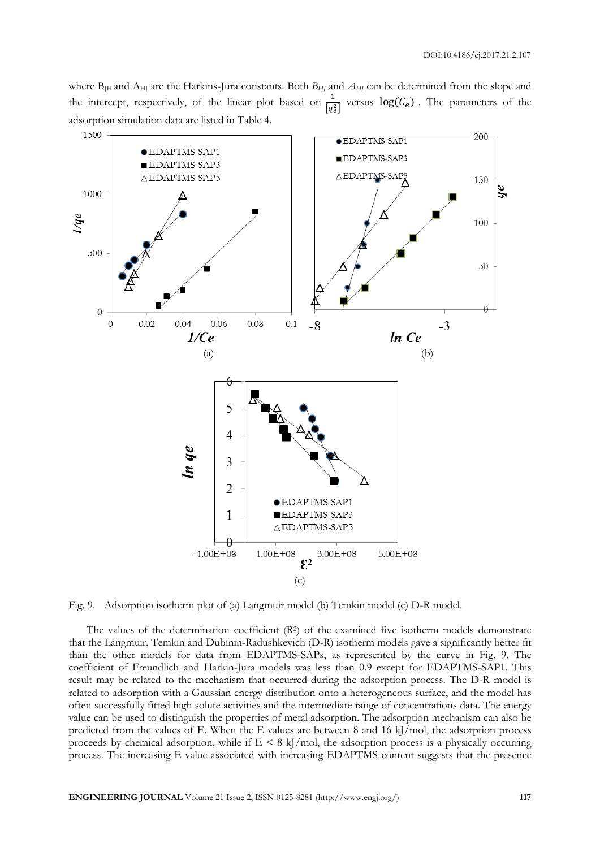where B<sub>JH</sub> and A<sub>HJ</sub> are the Harkins-Jura constants. Both *B<sub>HJ</sub>* and *A<sub>HJ</sub>* can be determined from the slope and the intercept, respectively, of the linear plot based on  $\frac{1}{\sqrt{1}}$  $\frac{1}{\sqrt{q_e^2}}$  versus  $\log(C_e)$ . The parameters of the adsorption simulation data are listed in Table 4.



Fig. 9. Adsorption isotherm plot of (a) Langmuir model (b) Temkin model (c) D-R model.

The values of the determination coefficient (R<sup>2</sup>) of the examined five isotherm models demonstrate that the Langmuir, Temkin and Dubinin-Radushkevich (D-R) isotherm models gave a significantly better fit than the other models for data from EDAPTMS-SAPs, as represented by the curve in Fig. 9. The coefficient of Freundlich and Harkin-Jura models was less than 0.9 except for EDAPTMS-SAP1. This result may be related to the mechanism that occurred during the adsorption process. The D-R model is related to adsorption with a Gaussian energy distribution onto a heterogeneous surface, and the model has often successfully fitted high solute activities and the intermediate range of concentrations data. The energy value can be used to distinguish the properties of metal adsorption. The adsorption mechanism can also be predicted from the values of E. When the E values are between 8 and 16 kJ/mol, the adsorption process proceeds by chemical adsorption, while if  $E \leq 8$  kJ/mol, the adsorption process is a physically occurring process. The increasing E value associated with increasing EDAPTMS content suggests that the presence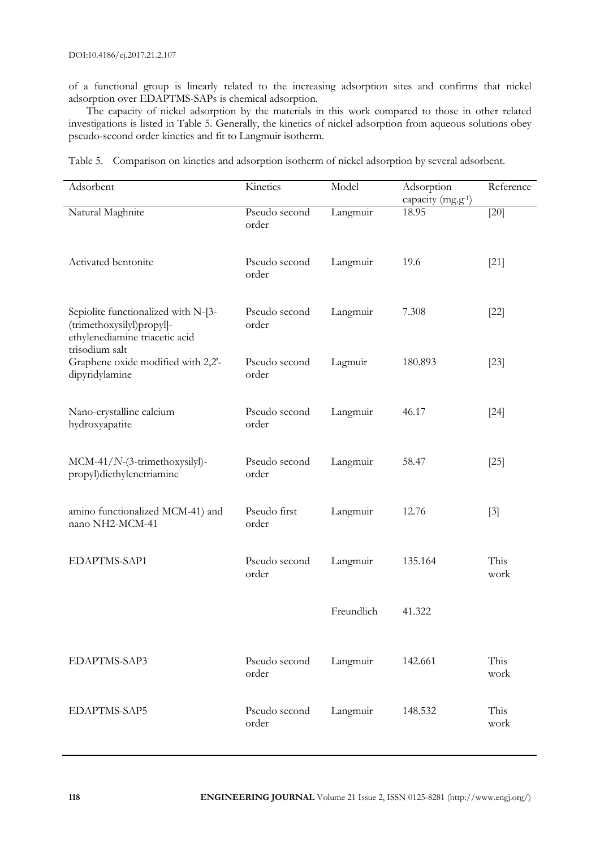of a functional group is linearly related to the increasing adsorption sites and confirms that nickel adsorption over EDAPTMS-SAPs is chemical adsorption.

The capacity of nickel adsorption by the materials in this work compared to those in other related investigations is listed in Table 5. Generally, the kinetics of nickel adsorption from aqueous solutions obey pseudo-second order kinetics and fit to Langmuir isotherm.

| Table 5. Comparison on kinetics and adsorption isotherm of nickel adsorption by several adsorbent. |  |  |  |  |
|----------------------------------------------------------------------------------------------------|--|--|--|--|
|                                                                                                    |  |  |  |  |

| Adsorbent                                                                                                            | Kinetics               | Model      | Adsorption<br>capacity (mg.g <sup>-1</sup> ) | Reference    |
|----------------------------------------------------------------------------------------------------------------------|------------------------|------------|----------------------------------------------|--------------|
| Natural Maghnite                                                                                                     | Pseudo second<br>order | Langmuir   | 18.95                                        | $[20]$       |
| Activated bentonite                                                                                                  | Pseudo second<br>order | Langmuir   | 19.6                                         | $[21]$       |
| Sepiolite functionalized with N-[3-<br>(trimethoxysilyl)propyl]-<br>ethylenediamine triacetic acid<br>trisodium salt | Pseudo second<br>order | Langmuir   | 7.308                                        | $[22]$       |
| Graphene oxide modified with 2,2'-<br>dipyridylamine                                                                 | Pseudo second<br>order | Lagmuir    | 180.893                                      | $[23]$       |
| Nano-crystalline calcium<br>hydroxyapatite                                                                           | Pseudo second<br>order | Langmuir   | 46.17                                        | $[24]$       |
| MCM-41/N-(3-trimethoxysilyl)-<br>propyl)diethylenetriamine                                                           | Pseudo second<br>order | Langmuir   | 58.47                                        | $[25]$       |
| amino functionalized MCM-41) and<br>nano NH2-MCM-41                                                                  | Pseudo first<br>order  | Langmuir   | 12.76                                        | $[3]$        |
| EDAPTMS-SAP1                                                                                                         | Pseudo second<br>order | Langmuir   | 135.164                                      | This<br>work |
|                                                                                                                      |                        | Freundlich | 41.322                                       |              |
| EDAPTMS-SAP3                                                                                                         | Pseudo second<br>order | Langmuir   | 142.661                                      | This<br>work |
| EDAPTMS-SAP5                                                                                                         | Pseudo second<br>order | Langmuir   | 148.532                                      | This<br>work |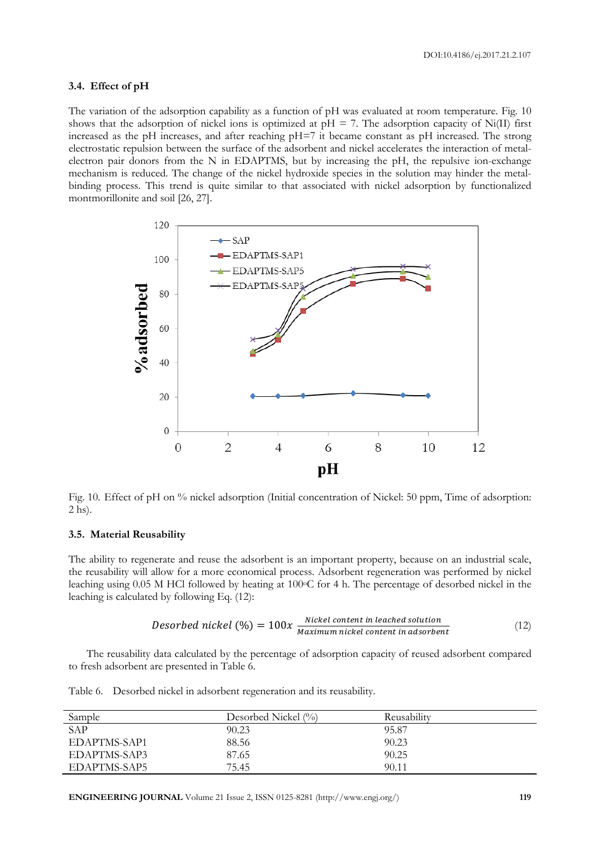DOI:10.4186/ej.2017.21.2.107

#### **3.4. Effect of pH**

The variation of the adsorption capability as a function of pH was evaluated at room temperature. Fig. 10 shows that the adsorption of nickel ions is optimized at  $pH = 7$ . The adsorption capacity of Ni(II) first increased as the pH increases, and after reaching pH=7 it became constant as pH increased. The strong electrostatic repulsion between the surface of the adsorbent and nickel accelerates the interaction of metalelectron pair donors from the N in EDAPTMS, but by increasing the pH, the repulsive ion-exchange mechanism is reduced. The change of the nickel hydroxide species in the solution may hinder the metalbinding process. This trend is quite similar to that associated with nickel adsorption by functionalized montmorillonite and soil [26, 27].



Fig. 10. Effect of pH on % nickel adsorption (Initial concentration of Nickel: 50 ppm, Time of adsorption: 2 hs).

#### **3.5. Material Reusability**

The ability to regenerate and reuse the adsorbent is an important property, because on an industrial scale, the reusability will allow for a more economical process. Adsorbent regeneration was performed by nickel leaching using  $0.05$  M HCl followed by heating at 100 $\degree$ C for 4 h. The percentage of desorbed nickel in the leaching is calculated by following Eq. (12):

Desorbed nickel (%) = 
$$
100x
$$
  $\frac{Nickel content in leached solution}{Maximum nickel content in adsorbent}$  (12)

The reusability data calculated by the percentage of adsorption capacity of reused adsorbent compared to fresh adsorbent are presented in Table 6.

Table 6. Desorbed nickel in adsorbent regeneration and its reusability.

| Sample       | Desorbed Nickel $(\%)$ | Reusability |
|--------------|------------------------|-------------|
| SAP          | 90.23                  | 95.87       |
| EDAPTMS-SAP1 | 88.56                  | 90.23       |
| EDAPTMS-SAP3 | 87.65                  | 90.25       |
| EDAPTMS-SAP5 | 75.45                  | 90.11       |

**ENGINEERING JOURNAL** Volume 21 Issue 2, ISSN 0125-8281 (http://www.engj.org/) **119**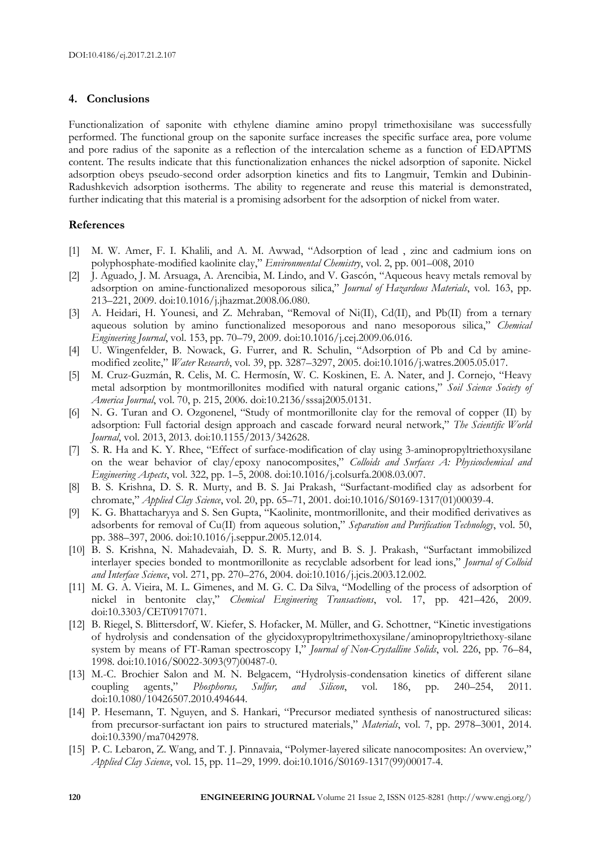#### **4. Conclusions**

Functionalization of saponite with ethylene diamine amino propyl trimethoxisilane was successfully performed. The functional group on the saponite surface increases the specific surface area, pore volume and pore radius of the saponite as a reflection of the intercalation scheme as a function of EDAPTMS content. The results indicate that this functionalization enhances the nickel adsorption of saponite. Nickel adsorption obeys pseudo-second order adsorption kinetics and fits to Langmuir, Temkin and Dubinin-Radushkevich adsorption isotherms. The ability to regenerate and reuse this material is demonstrated, further indicating that this material is a promising adsorbent for the adsorption of nickel from water.

#### **References**

- [1] M. W. Amer, F. I. Khalili, and A. M. Awwad, "Adsorption of lead , zinc and cadmium ions on polyphosphate-modified kaolinite clay," *Environmental Chemistry*, vol. 2, pp. 001–008, 2010
- [2] J. Aguado, J. M. Arsuaga, A. Arencibia, M. Lindo, and V. Gascón, "Aqueous heavy metals removal by adsorption on amine-functionalized mesoporous silica," *Journal of Hazardous Materials*, vol. 163, pp. 213–221, 2009. doi:10.1016/j.jhazmat.2008.06.080.
- [3] A. Heidari, H. Younesi, and Z. Mehraban, "Removal of Ni(II), Cd(II), and Pb(II) from a ternary aqueous solution by amino functionalized mesoporous and nano mesoporous silica," *Chemical Engineering Journal*, vol. 153, pp. 70–79, 2009. doi:10.1016/j.cej.2009.06.016.
- [4] U. Wingenfelder, B. Nowack, G. Furrer, and R. Schulin, "Adsorption of Pb and Cd by aminemodified zeolite," *Water Research*, vol. 39, pp. 3287–3297, 2005. doi:10.1016/j.watres.2005.05.017.
- [5] M. Cruz-Guzmán, R. Celis, M. C. Hermosín, W. C. Koskinen, E. A. Nater, and J. Cornejo, "Heavy metal adsorption by montmorillonites modified with natural organic cations," *Soil Science Society of America Journal*, vol. 70, p. 215, 2006. doi:10.2136/sssaj2005.0131.
- [6] N. G. Turan and O. Ozgonenel, "Study of montmorillonite clay for the removal of copper (II) by adsorption: Full factorial design approach and cascade forward neural network," *The Scientific World Journal*, vol. 2013, 2013. doi:10.1155/2013/342628.
- [7] S. R. Ha and K. Y. Rhee, "Effect of surface-modification of clay using 3-aminopropyltriethoxysilane on the wear behavior of clay/epoxy nanocomposites," *Colloids and Surfaces A: Physicochemical and Engineering Aspects*, vol. 322, pp. 1–5, 2008. doi:10.1016/j.colsurfa.2008.03.007.
- [8] B. S. Krishna, D. S. R. Murty, and B. S. Jai Prakash, "Surfactant-modified clay as adsorbent for chromate," *Applied Clay Science*, vol. 20, pp. 65–71, 2001. doi:10.1016/S0169-1317(01)00039-4.
- [9] K. G. Bhattacharyya and S. Sen Gupta, "Kaolinite, montmorillonite, and their modified derivatives as adsorbents for removal of Cu(II) from aqueous solution," *Separation and Purification Technology*, vol. 50, pp. 388–397, 2006. doi:10.1016/j.seppur.2005.12.014.
- [10] B. S. Krishna, N. Mahadevaiah, D. S. R. Murty, and B. S. J. Prakash, "Surfactant immobilized interlayer species bonded to montmorillonite as recyclable adsorbent for lead ions," *Journal of Colloid and Interface Science*, vol. 271, pp. 270–276, 2004. doi:10.1016/j.jcis.2003.12.002.
- [11] M. G. A. Vieira, M. L. Gimenes, and M. G. C. Da Silva, "Modelling of the process of adsorption of nickel in bentonite clay," *Chemical Engineering Transactions*, vol. 17, pp. 421–426, 2009. doi:10.3303/CET0917071.
- [12] B. Riegel, S. Blittersdorf, W. Kiefer, S. Hofacker, M. Müller, and G. Schottner, "Kinetic investigations of hydrolysis and condensation of the glycidoxypropyltrimethoxysilane/aminopropyltriethoxy-silane system by means of FT-Raman spectroscopy I," *Journal of Non-Crystalline Solids*, vol. 226, pp. 76–84, 1998. doi:10.1016/S0022-3093(97)00487-0.
- [13] M.-C. Brochier Salon and M. N. Belgacem, "Hydrolysis-condensation kinetics of different silane coupling agents," *Phosphorus, Sulfur, and Silicon*, vol. 186, pp. 240–254, 2011. doi:10.1080/10426507.2010.494644.
- [14] P. Hesemann, T. Nguyen, and S. Hankari, "Precursor mediated synthesis of nanostructured silicas: from precursor-surfactant ion pairs to structured materials," *Materials*, vol. 7, pp. 2978–3001, 2014. doi:10.3390/ma7042978.
- [15] P. C. Lebaron, Z. Wang, and T. J. Pinnavaia, "Polymer-layered silicate nanocomposites: An overview," *Applied Clay Science*, vol. 15, pp. 11–29, 1999. doi:10.1016/S0169-1317(99)00017-4.